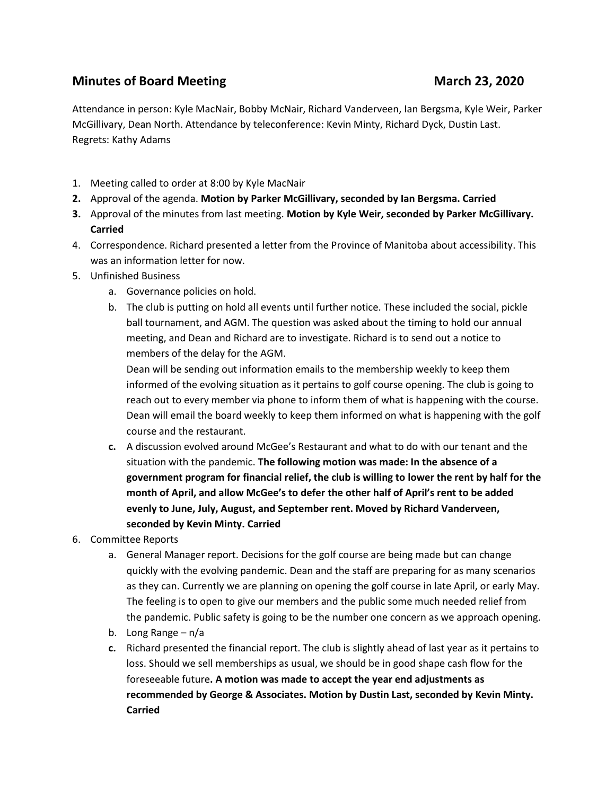## **Minutes of Board Meeting**  March 23, 2020

Attendance in person: Kyle MacNair, Bobby McNair, Richard Vanderveen, Ian Bergsma, Kyle Weir, Parker McGillivary, Dean North. Attendance by teleconference: Kevin Minty, Richard Dyck, Dustin Last. Regrets: Kathy Adams

- 1. Meeting called to order at 8:00 by Kyle MacNair
- **2.** Approval of the agenda. **Motion by Parker McGillivary, seconded by Ian Bergsma. Carried**
- **3.** Approval of the minutes from last meeting. **Motion by Kyle Weir, seconded by Parker McGillivary. Carried**
- 4. Correspondence. Richard presented a letter from the Province of Manitoba about accessibility. This was an information letter for now.
- 5. Unfinished Business
	- a. Governance policies on hold.
	- b. The club is putting on hold all events until further notice. These included the social, pickle ball tournament, and AGM. The question was asked about the timing to hold our annual meeting, and Dean and Richard are to investigate. Richard is to send out a notice to members of the delay for the AGM.

Dean will be sending out information emails to the membership weekly to keep them informed of the evolving situation as it pertains to golf course opening. The club is going to reach out to every member via phone to inform them of what is happening with the course. Dean will email the board weekly to keep them informed on what is happening with the golf course and the restaurant.

- **c.** A discussion evolved around McGee's Restaurant and what to do with our tenant and the situation with the pandemic. **The following motion was made: In the absence of a government program for financial relief, the club is willing to lower the rent by half for the month of April, and allow McGee's to defer the other half of April's rent to be added evenly to June, July, August, and September rent. Moved by Richard Vanderveen, seconded by Kevin Minty. Carried**
- 6. Committee Reports
	- a. General Manager report. Decisions for the golf course are being made but can change quickly with the evolving pandemic. Dean and the staff are preparing for as many scenarios as they can. Currently we are planning on opening the golf course in late April, or early May. The feeling is to open to give our members and the public some much needed relief from the pandemic. Public safety is going to be the number one concern as we approach opening.
	- b. Long Range n/a
	- **c.** Richard presented the financial report. The club is slightly ahead of last year as it pertains to loss. Should we sell memberships as usual, we should be in good shape cash flow for the foreseeable future**. A motion was made to accept the year end adjustments as recommended by George & Associates. Motion by Dustin Last, seconded by Kevin Minty. Carried**